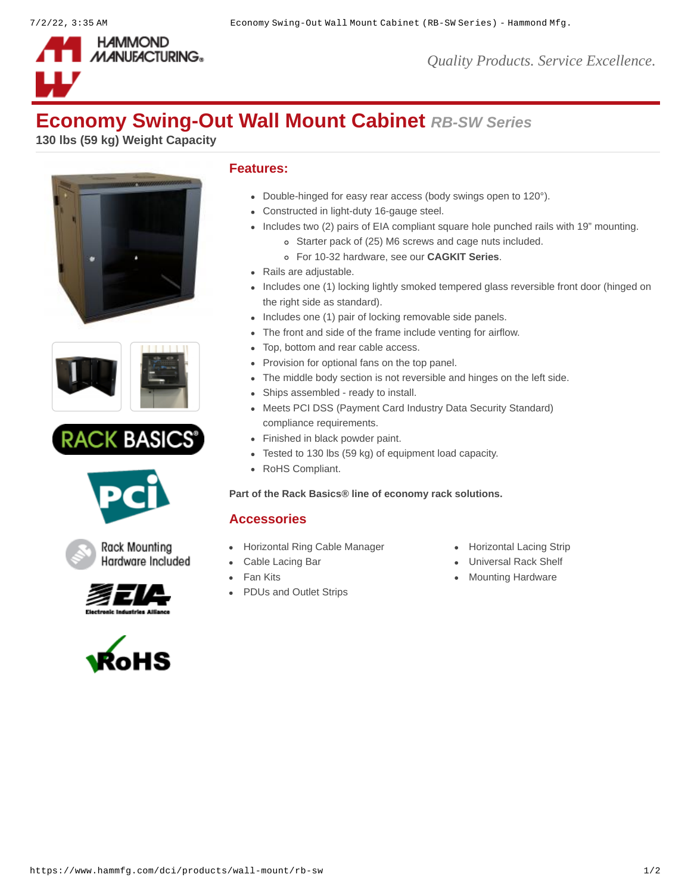

## **Economy Swing-Out Wall Mount Cabinet** *RB-SW Series*

**130 lbs (59 kg) Weight Capacity**











Hardware Included

**Rack Mounting** 





## **Features:**

- Double-hinged for easy rear access (body swings open to 120°).
- Constructed in light-duty 16-gauge steel.
- Includes two (2) pairs of EIA compliant square hole punched rails with 19" mounting.
	- Starter pack of (25) M6 screws and cage nuts included.
	- For 10-32 hardware, see our **[CAGKIT Series](https://www.hammfg.com/product/cagkit)**.
- Rails are adjustable.
- Includes one (1) locking lightly smoked tempered glass reversible front door (hinged on the right side as standard).
- Includes one (1) pair of locking removable side panels.
- The front and side of the frame include venting for airflow.
- Top, bottom and rear cable access.
- Provision for optional fans on the top panel.
- The middle body section is not reversible and hinges on the left side.
- Ships assembled ready to install.
- Meets PCI DSS (Payment Card Industry Data Security Standard) compliance requirements.
- Finished in black powder paint.
- Tested to 130 lbs (59 kg) of equipment load capacity.
- RoHS Compliant.

**Part of the [Rack Basics®](https://www.hammfg.com/dci/products/rack-basics) line of economy rack solutions.**

## **Accessories**

- [Horizontal Ring Cable Manager](https://www.hammfg.com/dci/products/accessories/rb-hrm?referer=911&itm_type=accessory) [Horizontal Lacing Strip](https://www.hammfg.com/dci/products/accessories/hcm?referer=911&itm_type=accessory)
- 
- 
- [PDUs and Outlet Strips](https://www.hammfg.com/electronics/outlet-strips?referer=911&itm_type=accessory)
- 
- [Cable Lacing Bar](https://www.hammfg.com/dci/products/accessories/clb?referer=911&itm_type=accessory) **Cable Lacing Bar** Cable Lacing Bar **Cable Lacing Bar** Cable 1
- [Fan Kits](https://www.hammfg.com/dci/products/accessories/fk?referer=911&itm_type=accessory) **[Mounting Hardware](https://www.hammfg.com/dci/products/accessories/mounting-hardware?referer=911&itm_type=accessory)** Mounting Hardware